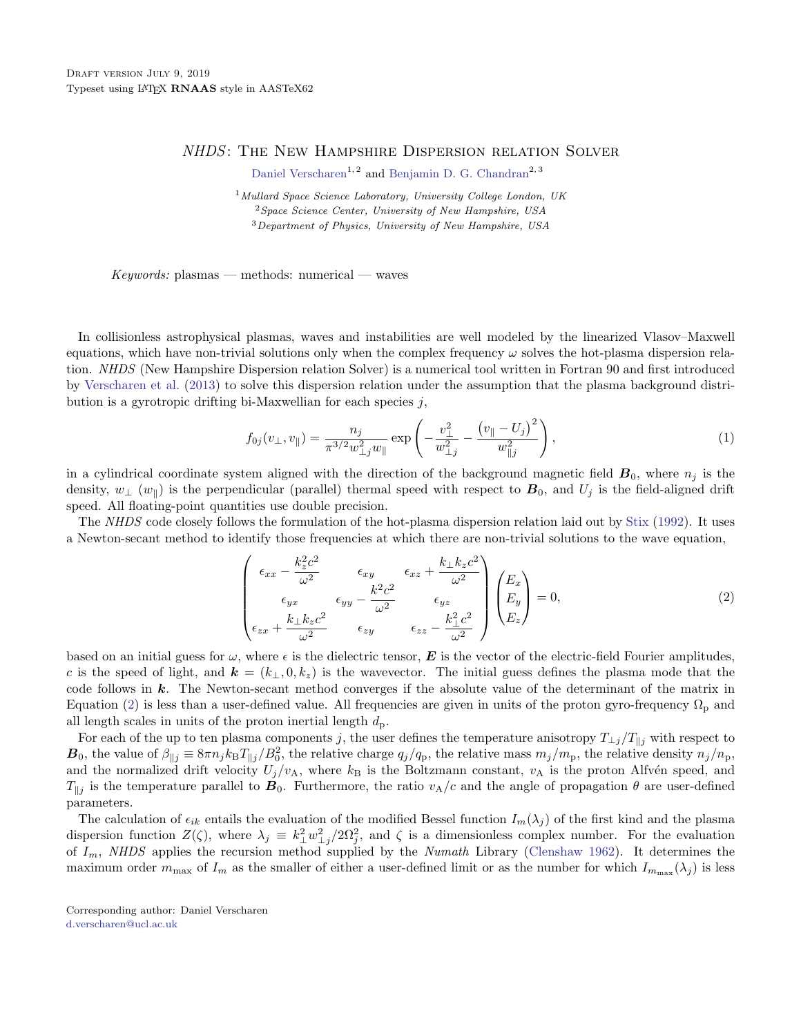## NHDS: The New Hampshire Dispersion relation Solver

[Daniel Verscharen](http://orcid.org/0000-0002-0497-1096)<sup>1, 2</sup> and [Benjamin D. G. Chandran](http://orcid.org/0000-0003-4177-3328)<sup>2, 3</sup>

<sup>1</sup>Mullard Space Science Laboratory, University College London, UK  $2$  Space Science Center, University of New Hampshire, USA <sup>3</sup>Department of Physics, University of New Hampshire, USA

 $Keywords: plasmas - methods: numerical - waves$ 

In collisionless astrophysical plasmas, waves and instabilities are well modeled by the linearized Vlasov–Maxwell equations, which have non-trivial solutions only when the complex frequency  $\omega$  solves the hot-plasma dispersion relation. NHDS (New Hampshire Dispersion relation Solver) is a numerical tool written in Fortran 90 and first introduced by [Verscharen et al.](#page-2-0) [\(2013\)](#page-2-0) to solve this dispersion relation under the assumption that the plasma background distribution is a gyrotropic drifting bi-Maxwellian for each species  $j$ ,

$$
f_{0j}(v_{\perp}, v_{\parallel}) = \frac{n_j}{\pi^{3/2} w_{\perp j}^2 w_{\parallel}} \exp\left(-\frac{v_{\perp}^2}{w_{\perp j}^2} - \frac{\left(v_{\parallel} - U_j\right)^2}{w_{\parallel j}^2}\right),\tag{1}
$$

in a cylindrical coordinate system aligned with the direction of the background magnetic field  $\mathbf{B}_0$ , where  $n_j$  is the density,  $w_{\perp}$  ( $w_{\parallel}$ ) is the perpendicular (parallel) thermal speed with respect to  $B_0$ , and  $U_j$  is the field-aligned drift speed. All floating-point quantities use double precision.

The NHDS code closely follows the formulation of the hot-plasma dispersion relation laid out by [Stix](#page-2-1) [\(1992\)](#page-2-1). It uses a Newton-secant method to identify those frequencies at which there are non-trivial solutions to the wave equation,

<span id="page-0-2"></span>
$$
\begin{pmatrix}\n\epsilon_{xx} - \frac{k_z^2 c^2}{\omega^2} & \epsilon_{xy} & \epsilon_{xz} + \frac{k_{\perp} k_z c^2}{\omega^2} \\
\epsilon_{yx} & \epsilon_{yy} - \frac{k^2 c^2}{\omega^2} & \epsilon_{yz} \\
\epsilon_{zx} + \frac{k_{\perp} k_z c^2}{\omega^2} & \epsilon_{zy} & \epsilon_{zz} - \frac{k_{\perp}^2 c^2}{\omega^2}\n\end{pmatrix}\n\begin{pmatrix}\nE_x \\
E_y \\
E_z\n\end{pmatrix} = 0,
$$
\n(2)

based on an initial guess for  $\omega$ , where  $\epsilon$  is the dielectric tensor, **E** is the vector of the electric-field Fourier amplitudes, c is the speed of light, and  $\mathbf{k} = (k_1, 0, k_z)$  is the wavevector. The initial guess defines the plasma mode that the code follows in k. The Newton-secant method converges if the absolute value of the determinant of the matrix in Equation [\(2\)](#page-0-2) is less than a user-defined value. All frequencies are given in units of the proton gyro-frequency  $\Omega_p$  and all length scales in units of the proton inertial length  $d_p$ .

For each of the up to ten plasma components j, the user defines the temperature anisotropy  $T_{\perp j}/T_{\parallel j}$  with respect to  $B_0$ , the value of  $\beta_{\parallel j} \equiv 8\pi n_j k_B T_{\parallel j}/B_0^2$ , the relative charge  $q_j/q_p$ , the relative mass  $m_j/m_p$ , the relative density  $n_j/n_p$ , and the normalized drift velocity  $U_j/v_A$ , where  $k_B$  is the Boltzmann constant,  $v_A$  is the proton Alfvén speed, and  $T_{\parallel j}$  is the temperature parallel to  $B_0$ . Furthermore, the ratio  $v_A/c$  and the angle of propagation  $\theta$  are user-defined parameters.

The calculation of  $\epsilon_{ik}$  entails the evaluation of the modified Bessel function  $I_m(\lambda_j)$  of the first kind and the plasma dispersion function  $Z(\zeta)$ , where  $\lambda_j \equiv k_\perp^2 w_{\perp j}^2/2\Omega_j^2$ , and  $\zeta$  is a dimensionless complex number. For the evaluation of  $I_m$ , NHDS applies the recursion method supplied by the Numath Library [\(Clenshaw](#page-2-2) [1962\)](#page-2-2). It determines the maximum order  $m_{\text{max}}$  of  $I_m$  as the smaller of either a user-defined limit or as the number for which  $I_{m_{\text{max}}}(\lambda_j)$  is less

<span id="page-0-1"></span><span id="page-0-0"></span>Corresponding author: Daniel Verscharen [d.verscharen@ucl.ac.uk](mailto: d.verscharen@ucl.ac.uk)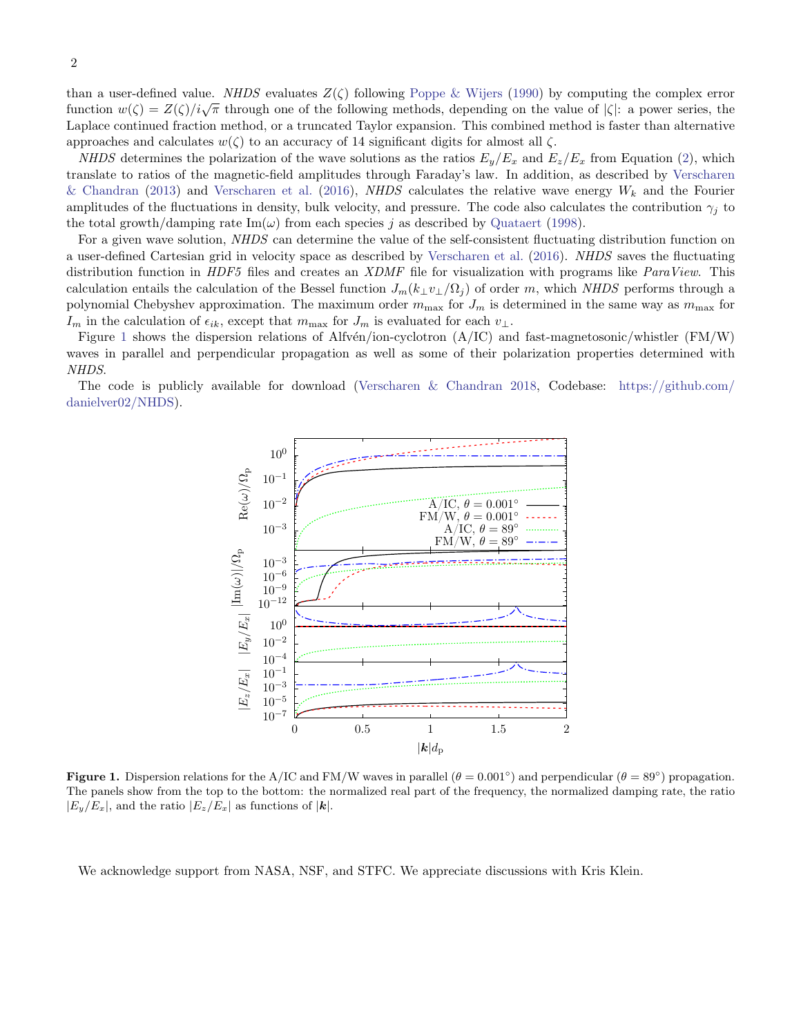than a user-defined value. NHDS evaluates  $Z(\zeta)$  following [Poppe & Wijers](#page-2-3) [\(1990\)](#page-2-3) by computing the complex error function  $w(\zeta) = Z(\zeta)/i\sqrt{\pi}$  through one of the following methods, depending on the value of  $|\zeta|$ : a power series, the Laplace continued fraction method, or a truncated Taylor expansion. This combined method is faster than alternative approaches and calculates  $w(\zeta)$  to an accuracy of 14 significant digits for almost all  $\zeta$ .

NHDS determines the polarization of the wave solutions as the ratios  $E_y/E_x$  and  $E_z/E_x$  from Equation [\(2\)](#page-0-2), which translate to ratios of the magnetic-field amplitudes through Faraday's law. In addition, as described by [Verscharen](#page-2-4) [& Chandran](#page-2-4) [\(2013\)](#page-2-4) and [Verscharen et al.](#page-2-5) [\(2016\)](#page-2-5), NHDS calculates the relative wave energy  $W_k$  and the Fourier amplitudes of the fluctuations in density, bulk velocity, and pressure. The code also calculates the contribution  $\gamma_j$  to the total growth/damping rate  $\text{Im}(\omega)$  from each species j as described by [Quataert](#page-2-6) [\(1998\)](#page-2-6).

For a given wave solution, NHDS can determine the value of the self-consistent fluctuating distribution function on a user-defined Cartesian grid in velocity space as described by [Verscharen et al.](#page-2-5) [\(2016\)](#page-2-5). NHDS saves the fluctuating distribution function in HDF5 files and creates an XDMF file for visualization with programs like ParaView. This calculation entails the calculation of the Bessel function  $J_m(k_1v_1/\Omega_i)$  of order m, which NHDS performs through a polynomial Chebyshev approximation. The maximum order  $m_{\text{max}}$  for  $J_m$  is determined in the same way as  $m_{\text{max}}$  for  $I_m$  in the calculation of  $\epsilon_{ik}$ , except that  $m_{\text{max}}$  for  $J_m$  is evaluated for each  $v_{\perp}$ .

Figure [1](#page-1-0) shows the dispersion relations of Alfvén/ion-cyclotron (A/IC) and fast-magnetosonic/whistler (FM/W) waves in parallel and perpendicular propagation as well as some of their polarization properties determined with NHDS.

The code is publicly available for download [\(Verscharen & Chandran](#page-2-7) [2018,](#page-2-7) Codebase: [https://github.com/](https://github.com/danielver02/NHDS) [danielver02/NHDS\)](https://github.com/danielver02/NHDS).



<span id="page-1-0"></span>**Figure 1.** Dispersion relations for the A/IC and FM/W waves in parallel  $(\theta = 0.001^{\circ})$  and perpendicular  $(\theta = 89^{\circ})$  propagation. The panels show from the top to the bottom: the normalized real part of the frequency, the normalized damping rate, the ratio  $|E_y/E_x|$ , and the ratio  $|E_z/E_x|$  as functions of  $|k|$ .

We acknowledge support from NASA, NSF, and STFC. We appreciate discussions with Kris Klein.